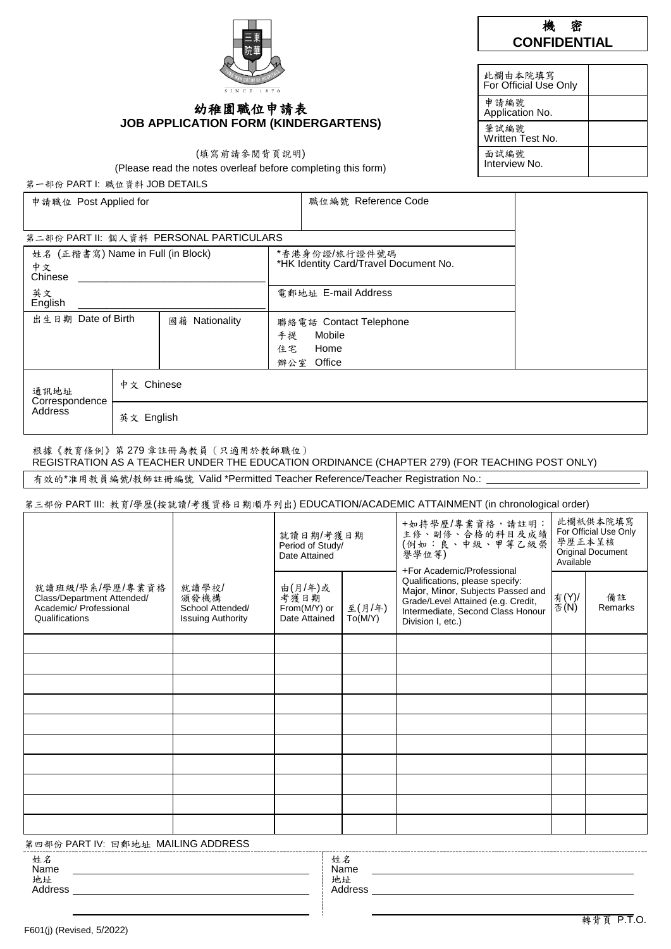## 幼稚園職位申請表 **JOB APPLICATION FORM (KINDERGARTENS)**

(填寫前請參閱背頁說明)

(Please read the notes overleaf before completing this form)

第一部份 PART I: 職位資料 JOB DETAILS

| 申請職位 Post Applied for                |            |                                         |                                       | 職位編號 Reference Code |  |  |  |
|--------------------------------------|------------|-----------------------------------------|---------------------------------------|---------------------|--|--|--|
|                                      |            |                                         |                                       |                     |  |  |  |
|                                      |            | 第二部份 PART II: 個人資料 PERSONAL PARTICULARS |                                       |                     |  |  |  |
| 姓名 (正楷書寫) Name in Full (in Block)    |            |                                         |                                       | *香港身份證/旅行證件號碼       |  |  |  |
| 中文<br>Chinese                        |            |                                         | *HK Identity Card/Travel Document No. |                     |  |  |  |
| 英文<br>English                        |            | 電郵地址 E-mail Address                     |                                       |                     |  |  |  |
| 出生日期 Date of Birth<br>國籍 Nationality |            | 聯絡電話 Contact Telephone                  |                                       |                     |  |  |  |
|                                      |            |                                         | Mobile<br>手提                          |                     |  |  |  |
|                                      |            |                                         | Home<br>住宅                            |                     |  |  |  |
|                                      |            |                                         |                                       | 辦公室 Office          |  |  |  |
| 通訊地址<br>Correspondence               | 中文 Chinese |                                         |                                       |                     |  |  |  |
| Address                              | 英文 English |                                         |                                       |                     |  |  |  |

#### 根據《教育條例》第 279 章註冊為教員(只適用於教師職位)

REGISTRATION AS A TEACHER UNDER THE EDUCATION ORDINANCE (CHAPTER 279) (FOR TEACHING POST ONLY)

有效的\*准用教員編號/教師註冊編號 Valid \*Permitted Teacher Reference/Teacher Registration No.:

#### 第三部份 PART III: 教育/學歷(接就讀/考獲資格日期順序列出) EDUCATION/ACADEMIC ATTAINMENT (in chronological order)

|                                                                                                                                                                                                                                                                                                                                                                                                                                                         |                                                               | 就讀日期/考獲日期<br>Period of Study/<br>Date Attained   |                   | +如持學歷/專業資格,請註明:<br>主修、副修、合格的科目及成績<br>(例如:良、中級、甲等乙級榮<br>譽學位等)<br>+For Academic/Professional                                                                           | 此欄祇供本院填寫<br>For Official Use Only<br>學歷正本呈核<br>Original Document<br>Available |               |
|---------------------------------------------------------------------------------------------------------------------------------------------------------------------------------------------------------------------------------------------------------------------------------------------------------------------------------------------------------------------------------------------------------------------------------------------------------|---------------------------------------------------------------|--------------------------------------------------|-------------------|----------------------------------------------------------------------------------------------------------------------------------------------------------------------|-------------------------------------------------------------------------------|---------------|
| 就讀班級/學系/學歷/專業資格<br>Class/Department Attended/<br>Academic/ Professional<br>Qualifications                                                                                                                                                                                                                                                                                                                                                               | 就讀學校/<br>頒發機構<br>School Attended/<br><b>Issuing Authority</b> | 由(月/年)或<br>考獲日期<br>From(M/Y) or<br>Date Attained | 至(月/年)<br>To(M/Y) | Qualifications, please specify:<br>Major, Minor, Subjects Passed and<br>Grade/Level Attained (e.g. Credit,<br>Intermediate, Second Class Honour<br>Division I, etc.) | 有(Y)/<br>否(N)                                                                 | 備註<br>Remarks |
|                                                                                                                                                                                                                                                                                                                                                                                                                                                         |                                                               |                                                  |                   |                                                                                                                                                                      |                                                                               |               |
|                                                                                                                                                                                                                                                                                                                                                                                                                                                         |                                                               |                                                  |                   |                                                                                                                                                                      |                                                                               |               |
|                                                                                                                                                                                                                                                                                                                                                                                                                                                         |                                                               |                                                  |                   |                                                                                                                                                                      |                                                                               |               |
|                                                                                                                                                                                                                                                                                                                                                                                                                                                         |                                                               |                                                  |                   |                                                                                                                                                                      |                                                                               |               |
|                                                                                                                                                                                                                                                                                                                                                                                                                                                         |                                                               |                                                  |                   |                                                                                                                                                                      |                                                                               |               |
|                                                                                                                                                                                                                                                                                                                                                                                                                                                         |                                                               |                                                  |                   |                                                                                                                                                                      |                                                                               |               |
|                                                                                                                                                                                                                                                                                                                                                                                                                                                         |                                                               |                                                  |                   |                                                                                                                                                                      |                                                                               |               |
|                                                                                                                                                                                                                                                                                                                                                                                                                                                         |                                                               |                                                  |                   |                                                                                                                                                                      |                                                                               |               |
|                                                                                                                                                                                                                                                                                                                                                                                                                                                         |                                                               |                                                  |                   |                                                                                                                                                                      |                                                                               |               |
|                                                                                                                                                                                                                                                                                                                                                                                                                                                         |                                                               |                                                  |                   |                                                                                                                                                                      |                                                                               |               |
| $\frac{k}{2}$ $\rightarrow$ $\frac{m}{2}$ $\land$ $\rightarrow$ $\frac{n}{2}$ $\rightarrow$ $\frac{n}{2}$ $\rightarrow$ $\frac{n}{2}$ $\rightarrow$ $\frac{n}{2}$ $\rightarrow$ $\frac{n}{2}$ $\rightarrow$ $\frac{n}{2}$ $\rightarrow$ $\frac{n}{2}$ $\rightarrow$ $\frac{n}{2}$ $\rightarrow$ $\frac{n}{2}$ $\rightarrow$ $\frac{n}{2}$ $\rightarrow$ $\frac{n}{2}$ $\rightarrow$ $\frac{n}{2}$ $\rightarrow$ $\frac{n}{2}$ $\rightarrow$ $\frac{n}{$ |                                                               |                                                  |                   |                                                                                                                                                                      |                                                                               |               |

 $\cong$  PART IV: 回郵地址 MAII ING ADDRESS

| 界四部份 FANTIV. 凹野地址  WAILING ADDNEOO |                             |
|------------------------------------|-----------------------------|
| 灶石<br>Name<br>地址<br>ddress         | 妊才<br>Name<br>地址<br>Address |

 $\overline{a}$ 

| 此欄由本院填寫<br>For Official Use Only |  |
|----------------------------------|--|
| 申請編號<br>Application No.          |  |
| 筆試編號<br>Written Test No.         |  |
| 面試編號<br>Interview No.            |  |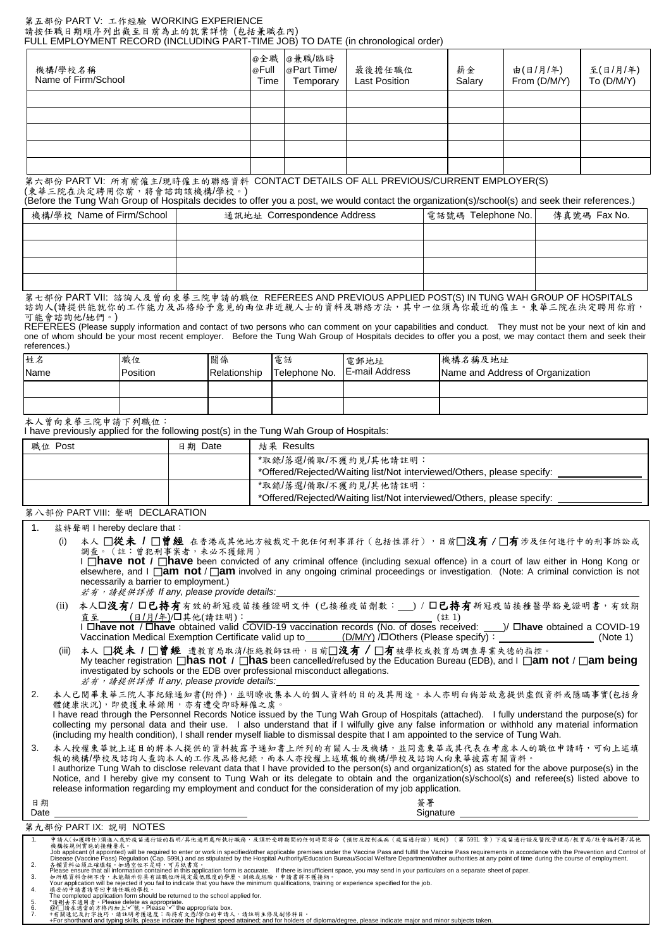#### 第五部份 PART V: 工作經驗 WORKING EXPERIENCE 請按任職日期順序列出截至目前為止的就業詳情 (包括兼職在內) FULL EMPLOYMENT RECORD (INCLUDING PART-TIME JOB) TO DATE (in chronological order)

| 機構/學校名稱<br>Name of Firm/School | @Full<br>Time | @全職 @兼職/臨時<br>@Part Time/<br>Temporary | 最後擔任職位<br><b>Last Position</b> | 薪金<br>Salary | 由(日/月/年)<br>From (D/M/Y) | 至(日/月/年)<br>$To$ $(D/M/Y)$ |
|--------------------------------|---------------|----------------------------------------|--------------------------------|--------------|--------------------------|----------------------------|
|                                |               |                                        |                                |              |                          |                            |
|                                |               |                                        |                                |              |                          |                            |
|                                |               |                                        |                                |              |                          |                            |
|                                |               |                                        |                                |              |                          |                            |
|                                |               |                                        |                                |              |                          |                            |

第六部份 PART VI: 所有前僱主/現時僱主的聯絡資料 CONTACT DETAILS OF ALL PREVIOUS/CURRENT EMPLOYER(S) (東華三院在決定聘用你前,將會諮詢該機構/學校。)

(Before the Tung Wah Group of Hospitals decides to offer you a post, we would contact the organization(s)/school(s) and seek their references.)

| 機構/學校 Name of Firm/School | 通訊地址 Correspondence Address | 電話號碼 Telephone No. | 傳真號碼 Fax No. |
|---------------------------|-----------------------------|--------------------|--------------|
|                           |                             |                    |              |
|                           |                             |                    |              |
|                           |                             |                    |              |
|                           |                             |                    |              |

第七部份 PART VII: 諮詢人及曾向東華三院申請的職位 REFEREES AND PREVIOUS APPLIED POST(S) IN TUNG WAH GROUP OF HOSPITALS 諮詢人(請提供能就你的工作能力及品格給予意見的兩位非近親人士的資料及聯絡方法,其中一位須為你最近的僱主。東華三院在決定聘用你前, 可能會諮詢他/她們。)

REFEREES (Please supply information and contact of two persons who can comment on your capabilities and conduct. They must not be your next of kin and one of whom should be your most recent employer. Before the Tung Wah Group of Hospitals decides to offer you a post, we may contact them and seek their references.)

| 姓名<br>Name | 職位<br>Position | 關係<br>Relationship | 電話<br>Telephone No. | 電郵地址<br>E-mail Address | 機構名稱及地址<br>Name and Address of Organization |
|------------|----------------|--------------------|---------------------|------------------------|---------------------------------------------|
|            |                |                    |                     |                        |                                             |
|            |                |                    |                     |                        |                                             |

本人曾向東華三院申請下列職位:

I have previously applied for the following post(s) in the Tung Wah Group of Hospitals:

| 職位 Post | 日期 Date | 結果 Results                                                                                      |
|---------|---------|-------------------------------------------------------------------------------------------------|
|         |         | *取錄/落選/備取/不獲約見/其他請註明:<br>*Offered/Rejected/Waiting list/Not interviewed/Others, please specify: |
|         |         | *取錄/落選/備取/不獲約見/其他請註明:<br>*Offered/Rejected/Waiting list/Not interviewed/Others, please specify: |

第八部份 PART VIII: 聲明 DECLARATION

| 1 <sub>1</sub> |       | 兹特聲明 I hereby declare that:                                                                                                                                                                                                                                                                                                                                                                                                                                                                                                                |
|----------------|-------|--------------------------------------------------------------------------------------------------------------------------------------------------------------------------------------------------------------------------------------------------------------------------------------------------------------------------------------------------------------------------------------------------------------------------------------------------------------------------------------------------------------------------------------------|
|                | (i)   | 本人 □從未 / □曾經 在香港或其他地方被裁定干犯任何刑事罪行(包括性罪行),目前□没有 / □有涉及任何進行中的刑事訴訟或<br>調查。 (註:曾犯刑事案者,未必不獲錄用)<br>I <b>nave not / nave</b> been convicted of any criminal offence (including sexual offence) in a court of law either in Hong Kong or<br>elsewhere, and I $\Box$ <b>am not</b> / $\Box$ <b>am</b> involved in any ongoing criminal proceedings or investigation. (Note: A criminal conviction is not<br>necessarily a barrier to employment.)<br>若有,請提供詳情 If any, please provide details:                                                        |
|                | (ii)  | 本人口沒有/口已持有有效的新冠疫苗接種證明文件 (已接種疫苗劑數: __) / 口已持有新冠疫苗接種醫學豁免證明書, 有效期<br>I Dhave not / Dhave obtained valid COVID-19 vaccination records (No. of doses received: ___ )/ Dhave obtained a COVID-19<br>Vaccination Medical Exemption Certificate valid up to (D/M/Y) / DOthers (Please specify) : ________<br>(Note 1)                                                                                                                                                                                                                              |
|                | (iii) | 本人 □從未 1 □曾經 遭教育局取消/拒绝教師註冊,目前□沒有 / □有被學校或教育局調查專業失德的指控。<br>My teacher registration <b>and Solution</b> of <i>I</i> as been cancelled/refused by the Education Bureau (EDB), and I <b>am not</b> / <b>am being</b><br>investigated by schools or the EDB over professional misconduct allegations.<br>若有,請提供詳情 If any, please provide details:                                                                                                                                                                                               |
| 2.             |       | 本人已閲畢東華三院人事紀錄通知書(附件),並明瞭收集本人的個人資料的目的及其用途。本人亦明白倘若故意提供虛假資料或隱瞞事實(包括身<br>體健康狀況), 即使獲東華錄用, 亦有遭受即時解僱之虞。<br>I have read through the Personnel Records Notice issued by the Tung Wah Group of Hospitals (attached). I fully understand the purpose(s) for<br>collecting my personal data and their use. I also understand that if I wilfully give any false information or withhold any material information<br>(including my health condition), I shall render myself liable to dismissal despite that I am appointed to the service of Tung Wah. |
| 3.             |       | 本人授權東華就上述目的將本人提供的資料披露予通知書上所列的有關人士及機構,並同意東華或其代表在考慮本人的職位申請時,可向上述填<br>報的機構/學校及諮詢人查詢本人的工作及品格紀錄,而本人亦授權上述填報的機構/學校及諮詢人向東華披露有關資料。<br>I authorize Tung Wah to disclose relevant data that I have provided to the person(s) and organization(s) as stated for the above purpose(s) in the<br>Notice, and I hereby give my consent to Tung Wah or its delegate to obtain and the organization(s)/school(s) and referee(s) listed above to<br>release information regarding my employment and conduct for the consideration of my job application.     |
| 日期<br>Date     |       | 答署<br>Signature                                                                                                                                                                                                                                                                                                                                                                                                                                                                                                                            |
|                |       | 第九部份 PART IX: 說明 NOTES                                                                                                                                                                                                                                                                                                                                                                                                                                                                                                                     |
| 1 <sub>1</sub> |       | 申請人(如獲聘任)須進入或於疫苗通行證的指明/其他適用處所執行職務,及須於受聘期間的任何時間符合《預防及控制疾病(疫苗通行證)規例》(第599L章)下疫苗通行證及醫院管理局/教育局/社會福利署/其他<br>機構按規例實施的接種要求。<br>Job applicant (if appointed) will be required to enter or work in specified/other applicable premises under the Vaccine Pass and fulfill the Vaccine Pass requirements in accordance with the Prevention and Control of<br>Dise                                                                                                                                                                                    |
| 2.<br>3.       |       | Please ensure that all information contained in this application form is accurate. If there is insufficient space, you may send in your particulars on a separate sheet of paper.<br>如所填資料含糊不清,未能顯示你具有該職位所規定最低限度的學歷、訓練或經驗,申請書將不獲接納。                                                                                                                                                                                                                                                                                                        |
|                |       | Your application will be rejected if you fail to indicate that you have the minimum qualifications, training or experience specified for the job.<br>填妥的申請書請寄回申請任職的學校。                                                                                                                                                                                                                                                                                                                                                                     |

- 
- 
- 

4. 填夹的单铸書铸等回申铸任職的學校。<br>The completed application form should be returned to the school applied for.<br>5. \*請删走不適用者。Please delete as appropriate.<br>6. @/□铸在適常的方格内加上"/"號。Please 'v' the appropriate box.<br>7. +有關速記及打字技巧。请注明考度速